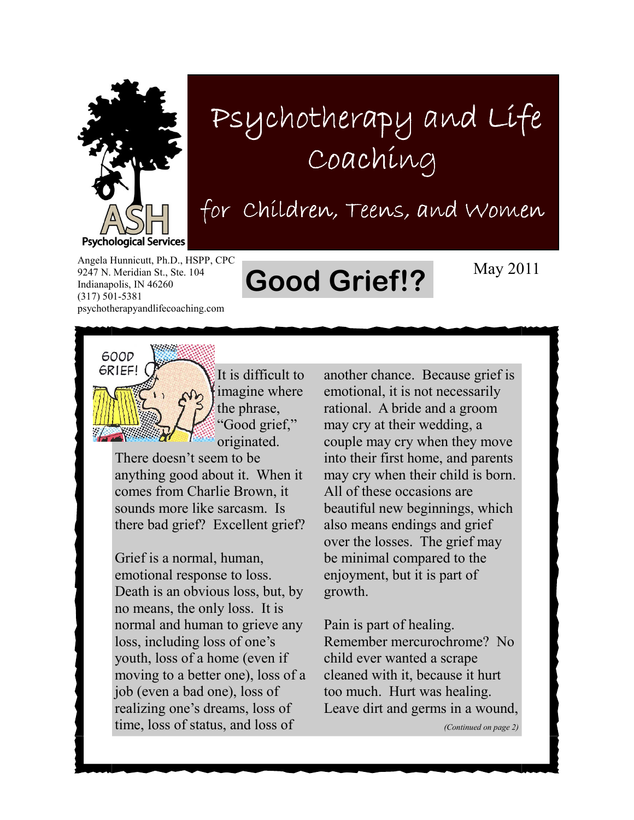

## Psychotherapy and Life Coaching

for Children, Teens, and Women

Angela Hunnicutt, Ph.D., HSPP, CPC 9247 N. Meridian St., Ste. 104 Indianapolis, IN 46260 (317) 501-5381 psychotherapyandlifecoaching.com

## Good Grief!? May 2011



It is difficult to imagine where the phrase, "Good grief," originated.

There doesn't seem to be anything good about it. When it comes from Charlie Brown, it sounds more like sarcasm. Is there bad grief? Excellent grief?

Grief is a normal, human, emotional response to loss. Death is an obvious loss, but, by no means, the only loss. It is normal and human to grieve any loss, including loss of one's youth, loss of a home (even if moving to a better one), loss of a job (even a bad one), loss of realizing one's dreams, loss of time, loss of status, and loss of

another chance. Because grief is emotional, it is not necessarily rational. A bride and a groom may cry at their wedding, a couple may cry when they move into their first home, and parents may cry when their child is born. All of these occasions are beautiful new beginnings, which also means endings and grief over the losses. The grief may be minimal compared to the enjoyment, but it is part of growth.

Pain is part of healing. Remember mercurochrome? No child ever wanted a scrape cleaned with it, because it hurt too much. Hurt was healing. Leave dirt and germs in a wound,

(Continued on page 2)